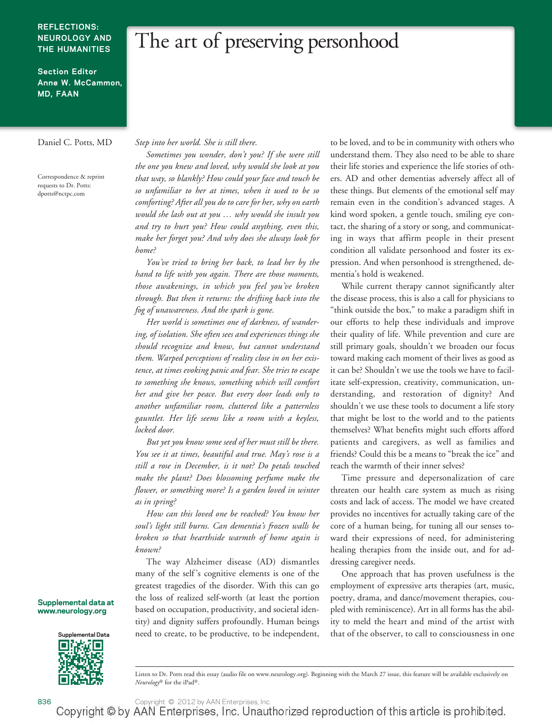#### **REFLECTIONS: NEUROLOGY AND THE HUMANITIES**

## The art of preserving personhood

**Section Editor Anne W. McCammon, MD, FAAN**

Correspondence & reprint requests to Dr. Potts: dpotts@nctpc.com

Daniel C. Potts, MD *Step into her world. She is still there.*

*Sometimes you wonder, don't you? If she were still the one you knew and loved, why would she look at you that way, so blankly? How could your face and touch be so unfamiliar to her at times, when it used to be so comforting? After all you do to care for her, why on earth would she lash out at you … why would she insult you and try to hurt you? How could anything, even this, make her forget you? And why does she always look for home?*

*You've tried to bring her back, to lead her by the hand to life with you again. There are those moments, those awakenings, in which you feel you've broken through. But then it returns: the drifting back into the fog of unawareness. And the spark is gone.*

*Her world is sometimes one of darkness, of wandering, of isolation. She often sees and experiences things she should recognize and know, but cannot understand them. Warped perceptions of reality close in on her existence, at times evoking panic and fear. She tries to escape to something she knows, something which will comfort her and give her peace. But every door leads only to another unfamiliar room, cluttered like a patternless gauntlet. Her life seems like a room with a keyless, locked door.*

*But yet you know some seed of her must still be there. You see it at times, beautiful and true. May's rose is a still a rose in December, is it not? Do petals touched make the plant? Does blossoming perfume make the flower, or something more? Is a garden loved in winter as in spring?*

*How can this loved one be reached? You know her soul's light still burns. Can dementia's frozen walls be broken so that hearthside warmth of home again is known?*

The way Alzheimer disease (AD) dismantles many of the self 's cognitive elements is one of the greatest tragedies of the disorder. With this can go the loss of realized self-worth (at least the portion based on occupation, productivity, and societal identity) and dignity suffers profoundly. Human beings need to create, to be productive, to be independent,

to be loved, and to be in community with others who understand them. They also need to be able to share their life stories and experience the life stories of others. AD and other dementias adversely affect all of these things. But elements of the emotional self may remain even in the condition's advanced stages. A kind word spoken, a gentle touch, smiling eye contact, the sharing of a story or song, and communicating in ways that affirm people in their present condition all validate personhood and foster its expression. And when personhood is strengthened, dementia's hold is weakened.

While current therapy cannot significantly alter the disease process, this is also a call for physicians to "think outside the box," to make a paradigm shift in our efforts to help these individuals and improve their quality of life. While prevention and cure are still primary goals, shouldn't we broaden our focus toward making each moment of their lives as good as it can be? Shouldn't we use the tools we have to facilitate self-expression, creativity, communication, understanding, and restoration of dignity? And shouldn't we use these tools to document a life story that might be lost to the world and to the patients themselves? What benefits might such efforts afford patients and caregivers, as well as families and friends? Could this be a means to "break the ice" and reach the warmth of their inner selves?

Time pressure and depersonalization of care threaten our health care system as much as rising costs and lack of access. The model we have created provides no incentives for actually taking care of the core of a human being, for tuning all our senses toward their expressions of need, for administering healing therapies from the inside out, and for addressing caregiver needs.

One approach that has proven usefulness is the employment of expressive arts therapies (art, music, poetry, drama, and dance/movement therapies, coupled with reminiscence). Art in all forms has the ability to meld the heart and mind of the artist with that of the observer, to call to consciousness in one

**Supplemental data at www.neurology.org**



Listen to Dr. Potts read this essay (audio file on [www.neurology.org\)](www.neurology.org). Beginning with the March 27 issue, this feature will be available exclusively on *Neurology®* for the iPad®.

836 Copyright © 2012 by AAN Enterprises, Inc.<br>Copyright © by AAN Enterprises, Inc. Unauthorized reproduction of this article is prohibited.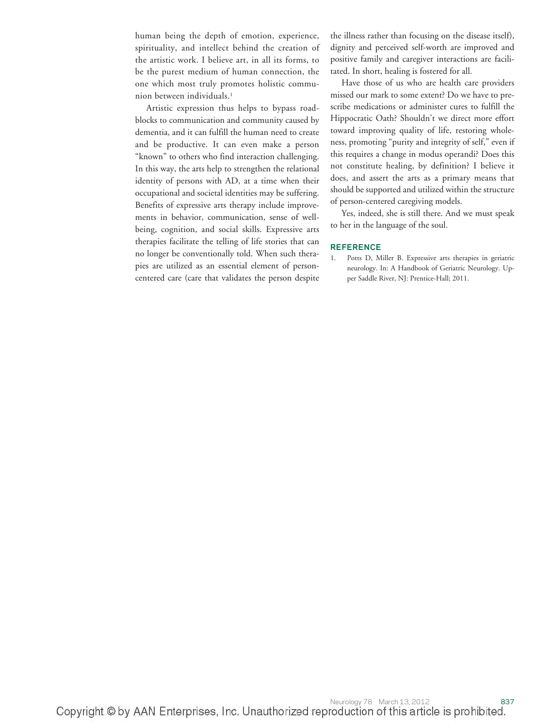human being the depth of emotion, experience, spirituality, and intellect behind the creation of the artistic work. I believe art, in all its forms, to be the purest medium of human connection, the one which most truly promotes holistic communion between individuals.1

Artistic expression thus helps to bypass roadblocks to communication and community caused by dementia, and it can fulfill the human need to create and be productive. It can even make a person "known" to others who find interaction challenging. In this way, the arts help to strengthen the relational identity of persons with AD, at a time when their occupational and societal identities may be suffering. Benefits of expressive arts therapy include improvements in behavior, communication, sense of wellbeing, cognition, and social skills. Expressive arts therapies facilitate the telling of life stories that can no longer be conventionally told. When such therapies are utilized as an essential element of personcentered care (care that validates the person despite

the illness rather than focusing on the disease itself), dignity and perceived self-worth are improved and positive family and caregiver interactions are facilitated. In short, healing is fostered for all.

Have those of us who are health care providers missed our mark to some extent? Do we have to prescribe medications or administer cures to fulfill the Hippocratic Oath? Shouldn't we direct more effort toward improving quality of life, restoring wholeness, promoting "purity and integrity of self," even if this requires a change in modus operandi? Does this not constitute healing, by definition? I believe it does, and assert the arts as a primary means that should be supported and utilized within the structure of person-centered caregiving models.

Yes, indeed, she is still there. And we must speak to her in the language of the soul.

#### **REFERENCE**

1. Potts D, Miller B. Expressive arts therapies in geriatric neurology. In: A Handbook of Geriatric Neurology. Upper Saddle River, NJ: Prentice-Hall; 2011.